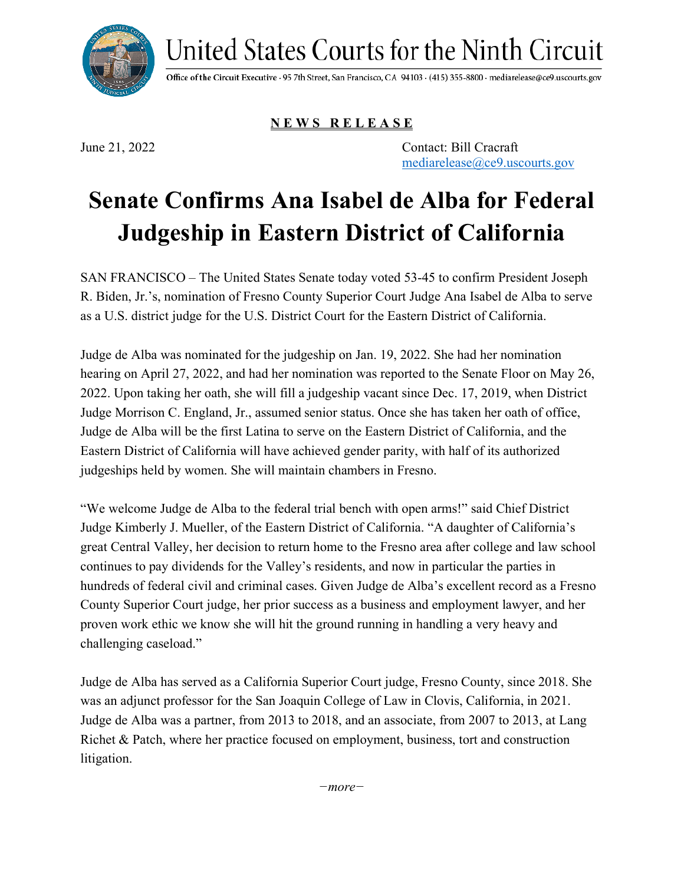United States Courts for the Ninth Circuit

Office of the Circuit Executive · 95 7th Street, San Francisco, CA 94103 · (415) 355-8800 · mediarelease@ce9.uscourts.gov

**N E W S R E L E A S E**

June 21, 2022 Contact: Bill Cracraft [mediarelease@ce9.uscourts.gov](mailto:mediarelease@ce9.uscourts.gov)

## **Senate Confirms Ana Isabel de Alba for Federal Judgeship in Eastern District of California**

SAN FRANCISCO – The United States Senate today voted 53-45 to confirm President Joseph R. Biden, Jr.'s, nomination of Fresno County Superior Court Judge Ana Isabel de Alba to serve as a U.S. district judge for the U.S. District Court for the Eastern District of California.

Judge de Alba was nominated for the judgeship on Jan. 19, 2022. She had her nomination hearing on April 27, 2022, and had her nomination was reported to the Senate Floor on May 26, 2022. Upon taking her oath, she will fill a judgeship vacant since Dec. 17, 2019, when District Judge Morrison C. England, Jr., assumed senior status. Once she has taken her oath of office, Judge de Alba will be the first Latina to serve on the Eastern District of California, and the Eastern District of California will have achieved gender parity, with half of its authorized judgeships held by women. She will maintain chambers in Fresno.

"We welcome Judge de Alba to the federal trial bench with open arms!" said Chief District Judge Kimberly J. Mueller, of the Eastern District of California. "A daughter of California's great Central Valley, her decision to return home to the Fresno area after college and law school continues to pay dividends for the Valley's residents, and now in particular the parties in hundreds of federal civil and criminal cases. Given Judge de Alba's excellent record as a Fresno County Superior Court judge, her prior success as a business and employment lawyer, and her proven work ethic we know she will hit the ground running in handling a very heavy and challenging caseload."

Judge de Alba has served as a California Superior Court judge, Fresno County, since 2018. She was an adjunct professor for the San Joaquin College of Law in Clovis, California, in 2021. Judge de Alba was a partner, from 2013 to 2018, and an associate, from 2007 to 2013, at Lang Richet & Patch, where her practice focused on employment, business, tort and construction litigation.

*−more−*